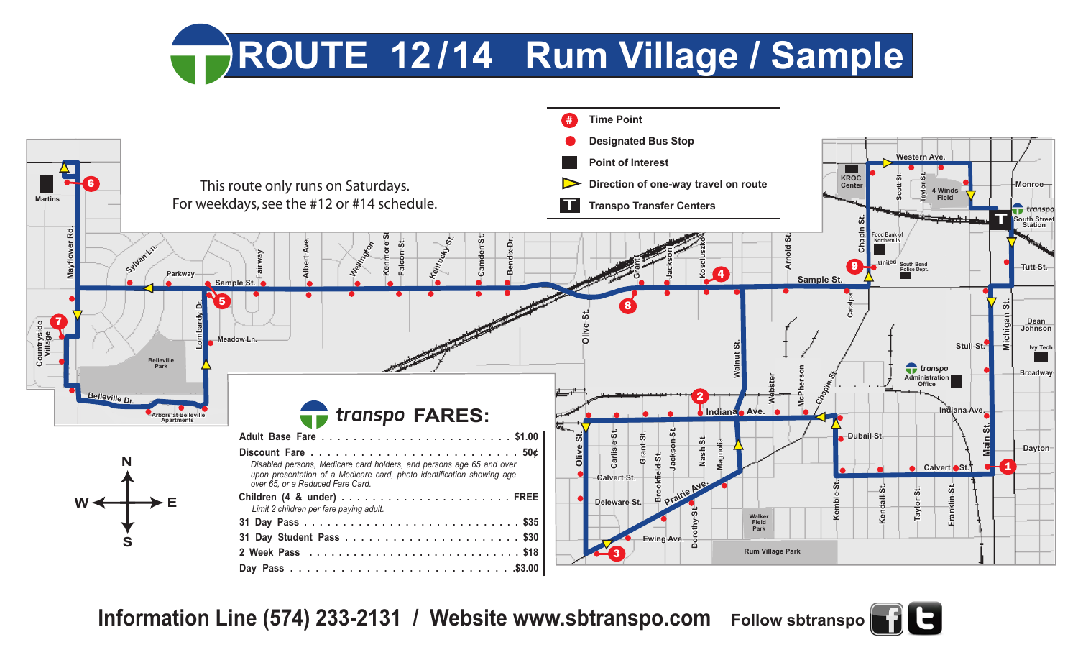## ROUTE 12/14 Rum Village / Sample



**Information Line (574) 233-2131 / Website www.sbtranspo.com Follow sbtranspo**